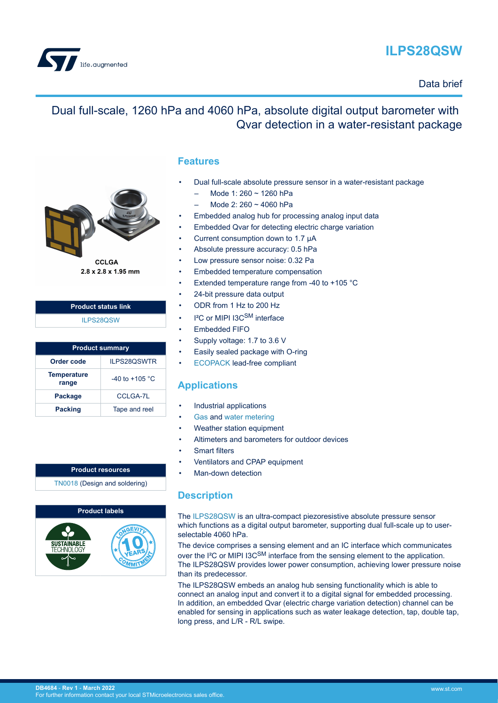



### Data brief

## Dual full-scale, 1260 hPa and 4060 hPa, absolute digital output barometer with Qvar detection in a water-resistant package

### **Features**

- Dual full-scale absolute pressure sensor in a water-resistant package
	- Mode 1: 260 ~ 1260 hPa
	- Mode 2: 260 ~ 4060 hPa
- Embedded analog hub for processing analog input data
- Embedded Qvar for detecting electric charge variation
- Current consumption down to 1.7 μA
- Absolute pressure accuracy: 0.5 hPa
- Low pressure sensor noise: 0.32 Pa
- Embedded temperature compensation
- Extended temperature range from -40 to +105  $^{\circ}$ C
- 24-bit pressure data output
- ODR from 1 Hz to 200 Hz
- I<sup>2</sup>C or MIPI I3C<sup>SM</sup> interface
- Embedded FIFO
- Supply voltage: 1.7 to 3.6 V
- Easily sealed package with O-ring
- [ECOPACK](https://www.st.com/ecopack) lead-free compliant

## **Applications**

- Industrial applications
- [Gas](https://www.st.com/en/applications/metering/gas-metering.html?ecmp=tt9471_gl_link_feb2019&rt=db&id=DB4684) and [water metering](https://www.st.com/en/applications/metering/water-metering.html?ecmp=tt9471_gl_link_feb2019&rt=db&id=DB4684)
- Weather station equipment
- Altimeters and barometers for outdoor devices
- Smart filters
- Ventilators and CPAP equipment
- Man-down detection

## **Description**

The [ILPS28QSW](https://www.st.com/en/product/ilps28qsw?ecmp=tt9470_gl_link_feb2019&rt=db&id=DB4684) is an ultra-compact piezoresistive absolute pressure sensor which functions as a digital output barometer, supporting dual full-scale up to userselectable 4060 hPa.

The device comprises a sensing element and an IC interface which communicates over the I<sup>2</sup>C or MIPI I3C<sup>SM</sup> interface from the sensing element to the application. The ILPS28QSW provides lower power consumption, achieving lower pressure noise than its predecessor.

The ILPS28QSW embeds an analog hub sensing functionality which is able to connect an analog input and convert it to a digital signal for embedded processing. In addition, an embedded Qvar (electric charge variation detection) channel can be enabled for sensing in applications such as water leakage detection, tap, double tap, long press, and L/R - R/L swipe.



2.8 x 2.8 x 1.95 mm

**Product status link** [ILPS28QSW](https://www.st.com/en/product/ilps28qsw?ecmp=tt9470_gl_link_feb2019&rt=db&id=DB4684)

| <b>Product summary</b>      |                    |  |  |
|-----------------------------|--------------------|--|--|
| Order code                  | <b>ILPS28OSWTR</b> |  |  |
| <b>Temperature</b><br>range | $-40$ to $+105$ °C |  |  |
| <b>Package</b>              | CCLGA-7L           |  |  |
| <b>Packing</b>              | Tape and reel      |  |  |

#### **Product resources**

[TN0018](https://www.st.com/resource/en/technical_note/CD00134799.pdf) (Design and soldering)

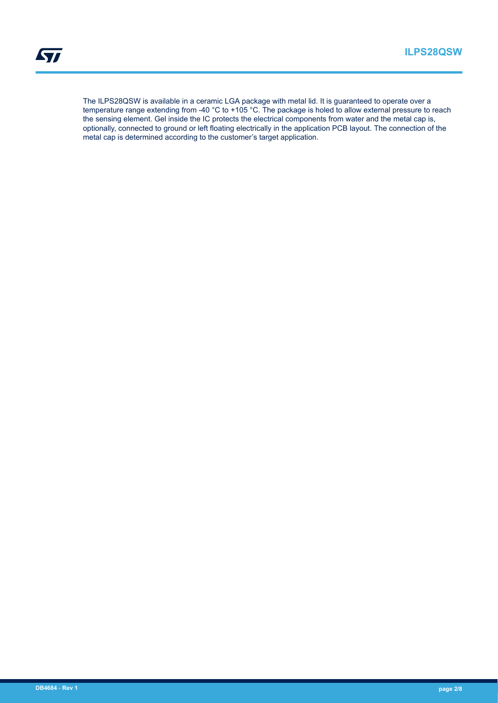The ILPS28QSW is available in a ceramic LGA package with metal lid. It is guaranteed to operate over a temperature range extending from -40 °C to +105 °C. The package is holed to allow external pressure to reach the sensing element. Gel inside the IC protects the electrical components from water and the metal cap is, optionally, connected to ground or left floating electrically in the application PCB layout. The connection of the metal cap is determined according to the customer's target application.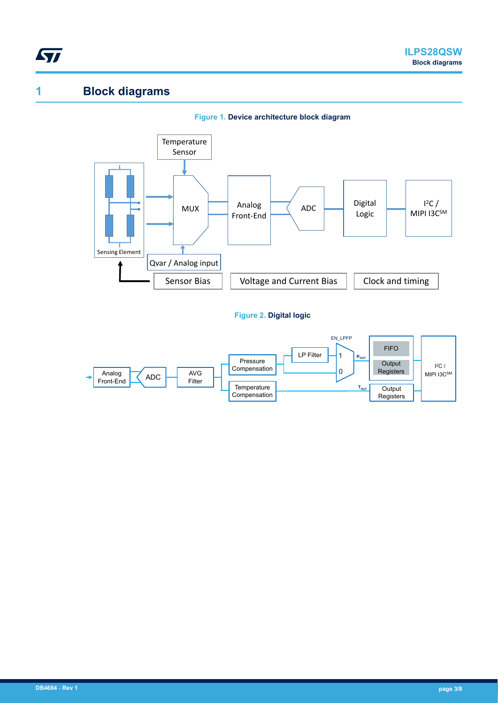<span id="page-2-0"></span>

# **1 Block diagrams**





#### **Figure 2. Digital logic**

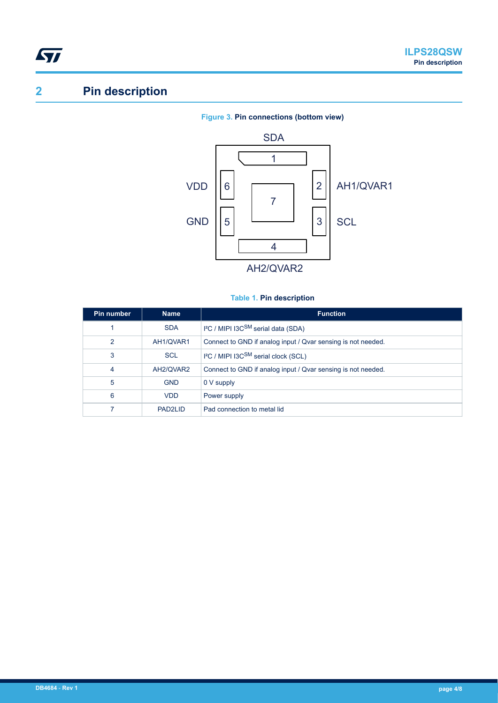# **2 Pin description**

<span id="page-3-0"></span>ST



## **Figure 3. Pin connections (bottom view)**

#### **Table 1. Pin description**

| Pin number    | <b>Name</b> | <b>Function</b>                                              |
|---------------|-------------|--------------------------------------------------------------|
|               | <b>SDA</b>  | I <sup>2</sup> C / MIPI I3C <sup>SM</sup> serial data (SDA)  |
| $\mathcal{P}$ | AH1/QVAR1   | Connect to GND if analog input / Qvar sensing is not needed. |
| 3             | <b>SCL</b>  | I <sup>2</sup> C / MIPI I3C <sup>SM</sup> serial clock (SCL) |
| 4             | AH2/QVAR2   | Connect to GND if analog input / Qvar sensing is not needed. |
| 5             | <b>GND</b>  | 0 V supply                                                   |
| 6             | <b>VDD</b>  | Power supply                                                 |
|               | PAD2LID     | Pad connection to metal lid                                  |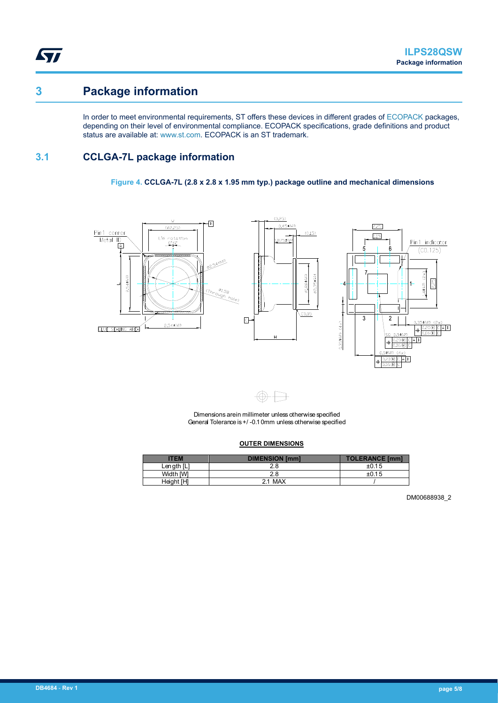<span id="page-4-0"></span>ST

# **3 Package information**

In order to meet environmental requirements, ST offers these devices in different grades of [ECOPACK](https://www.st.com/ecopack) packages, depending on their level of environmental compliance. ECOPACK specifications, grade definitions and product status are available at: [www.st.com.](http://www.st.com) ECOPACK is an ST trademark.

## **3.1 CCLGA-7L package information**

**Figure 4. CCLGA-7L (2.8 x 2.8 x 1.95 mm typ.) package outline and mechanical dimensions**





Dimensions arein millimeter unless otherwise specified General Tolerance is +/ -0.10mm unless otherwise specified

#### **OUTER DIMENSIONS**

| <b>ITEM</b>  | <b>DIMENSION [mm]</b> | <b>TOLERANCE ImmV</b> |
|--------------|-----------------------|-----------------------|
| Length $[L]$ | റ റ<br>2.C            | ±0.15                 |
| Width IWI    |                       | ±0.15                 |
| Height [H]   | 2.1 MAX               |                       |

DM00688938\_2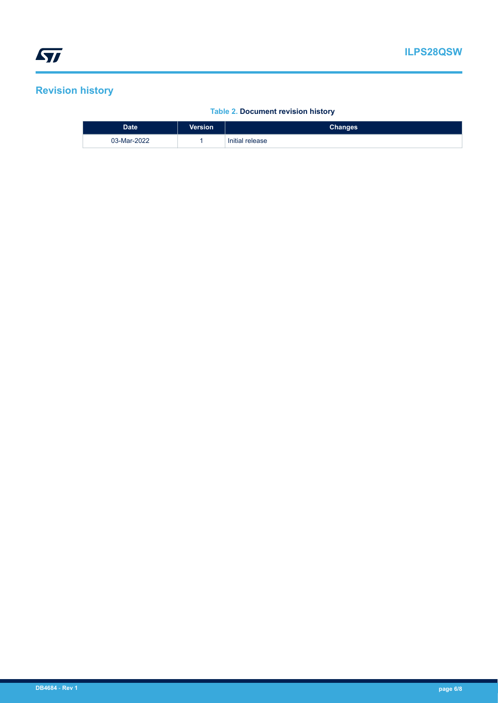## <span id="page-5-0"></span>**Revision history**

#### **Table 2. Document revision history**

| <b>Date</b> | <b>Version</b> | Changes         |
|-------------|----------------|-----------------|
| 03-Mar-2022 |                | Initial release |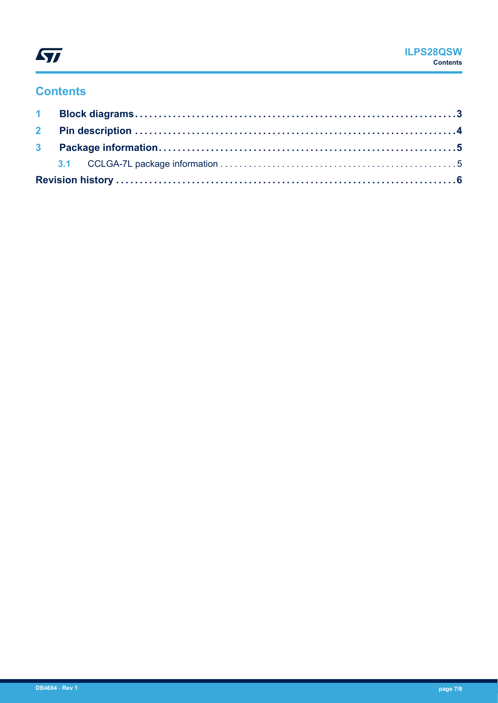

## **Contents**